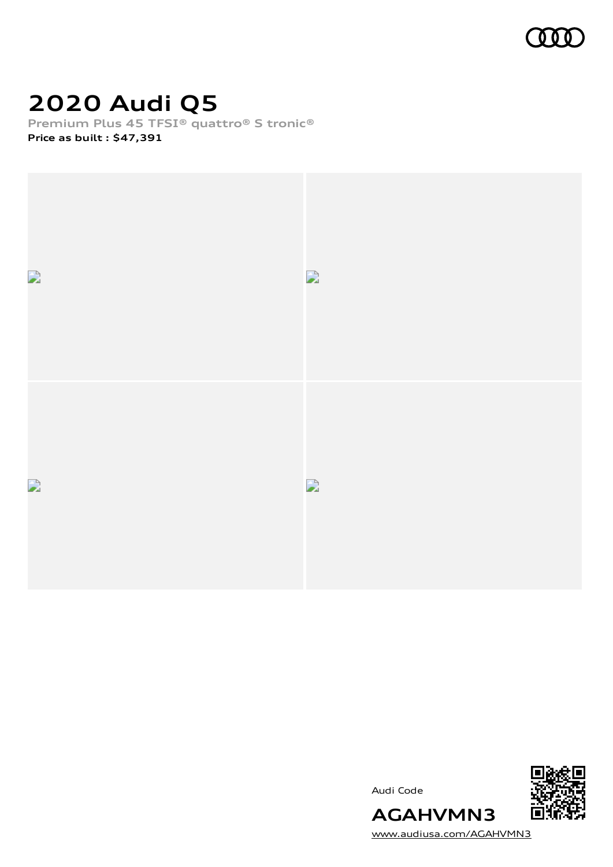

# **2020 Audi Q5**

**Premium Plus 45 TFSI® quattro® S tronic® Price as built [:](#page-8-0) \$47,391**







[www.audiusa.com/AGAHVMN3](https://www.audiusa.com/AGAHVMN3)

**AGAHVMN3**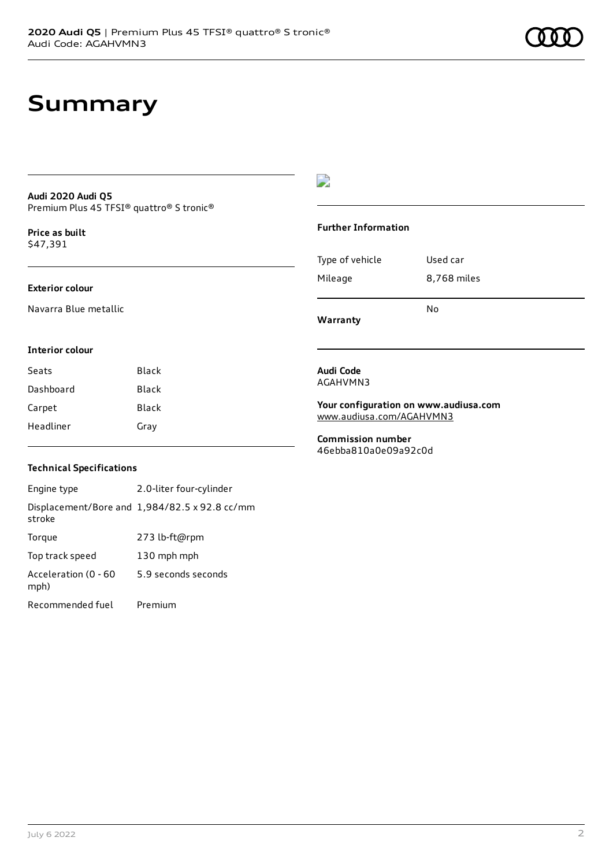#### **Audi 2020 Audi Q5** Premium Plus 45 TFSI® quattro® S tronic®

**Price as buil[t](#page-8-0)** \$47,391

### **Exterior colour**

Navarra Blue metallic

### D

#### **Further Information**

|                 | N٥          |
|-----------------|-------------|
| Mileage         | 8,768 miles |
| Type of vehicle | Used car    |

**Warranty**

### **Interior colour**

| Seats     | Black |
|-----------|-------|
| Dashboard | Black |
| Carpet    | Black |
| Headliner | Gray  |

#### **Audi Code** AGAHVMN3

**Your configuration on www.audiusa.com** [www.audiusa.com/AGAHVMN3](https://www.audiusa.com/AGAHVMN3)

**Commission number** 46ebba810a0e09a92c0d

### **Technical Specifications**

Engine type 2.0-liter four-cylinder Displacement/Bore and 1,984/82.5 x 92.8 cc/mm stroke Torque 273 lb-ft@rpm Top track speed 130 mph mph Acceleration (0 - 60 mph) 5.9 seconds seconds Recommended fuel Premium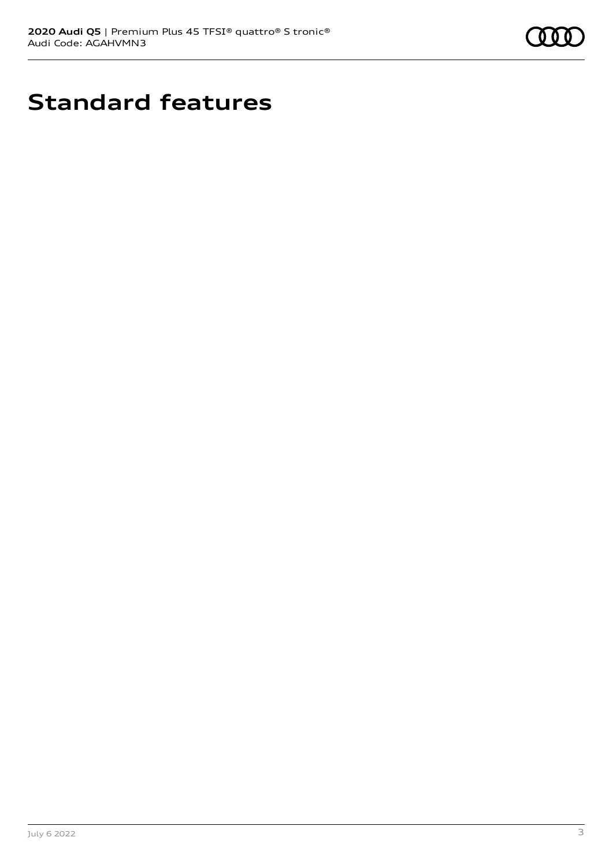

# **Standard features**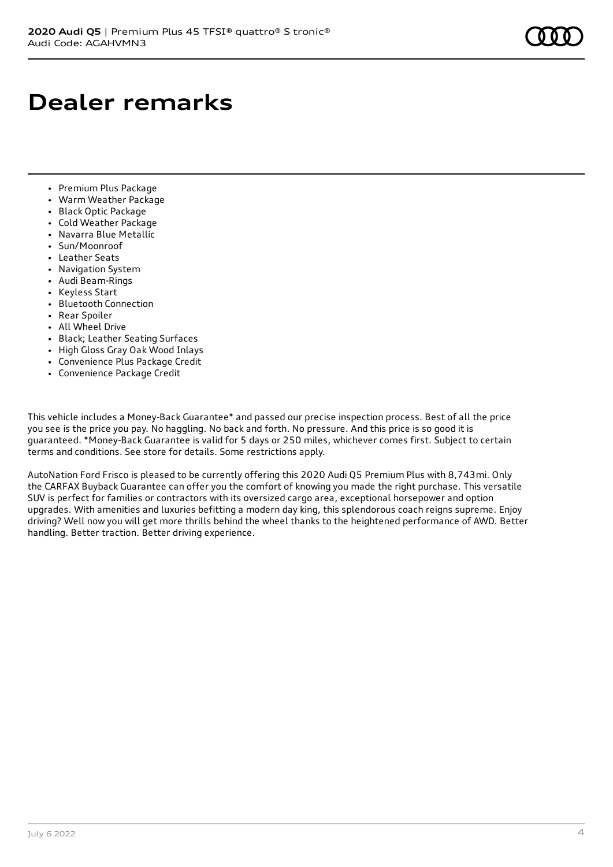## **Dealer remarks**

- Premium Plus Package
- Warm Weather Package
- Black Optic Package
- Cold Weather Package
- Navarra Blue Metallic
- Sun/Moonroof
- Leather Seats
- Navigation System
- Audi Beam-Rings
- Keyless Start
- Bluetooth Connection
- Rear Spoiler
- All Wheel Drive
- Black; Leather Seating Surfaces
- High Gloss Gray Oak Wood Inlays
- Convenience Plus Package Credit
- Convenience Package Credit

This vehicle includes a Money-Back Guarantee\* and passed our precise inspection process. Best of all the price you see is the price you pay. No haggling. No back and forth. No pressure. And this price is so good it is guaranteed. \*Money-Back Guarantee is valid for 5 days or 250 miles, whichever comes first. Subject to certain terms and conditions. See store for details. Some restrictions apply.

AutoNation Ford Frisco is pleased to be currently offering this 2020 Audi Q5 Premium Plus with 8,743mi. Only the CARFAX Buyback Guarantee can offer you the comfort of knowing you made the right purchase. This versatile SUV is perfect for families or contractors with its oversized cargo area, exceptional horsepower and option upgrades. With amenities and luxuries befitting a modern day king, this splendorous coach reigns supreme. Enjoy driving? Well now you will get more thrills behind the wheel thanks to the heightened performance of AWD. Better handling. Better traction. Better driving experience.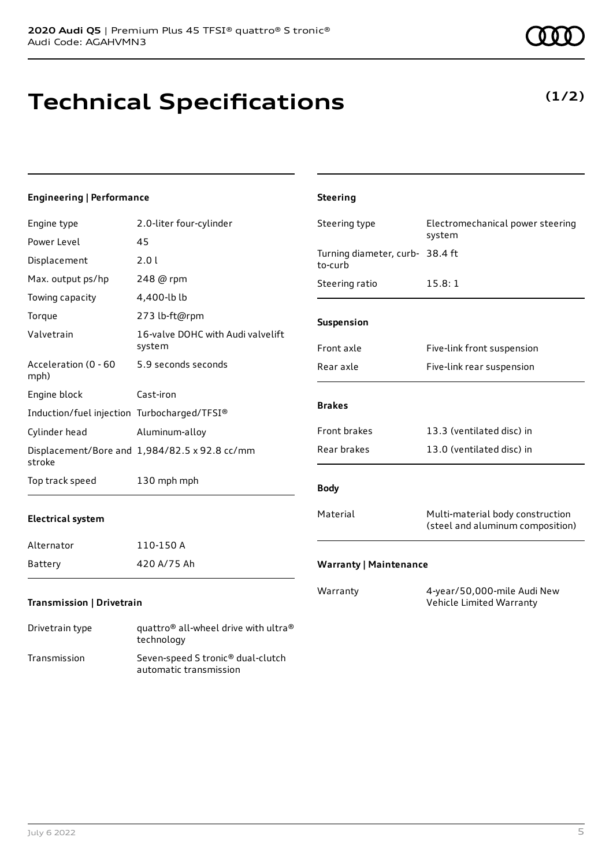# **Technical Specifications**

### **Engineering | Performance**

| Engine type                                 | 2.0-liter four-cylinder                            | Steering type                              | Electromechanical power steering                                     |
|---------------------------------------------|----------------------------------------------------|--------------------------------------------|----------------------------------------------------------------------|
| Power Level                                 | 45                                                 |                                            | system                                                               |
| Displacement                                | 2.01                                               | Turning diameter, curb- 38.4 ft<br>to-curb |                                                                      |
| Max. output ps/hp                           | 248 @ rpm                                          | Steering ratio                             | 15.8:1                                                               |
| Towing capacity                             | 4,400-lb lb                                        |                                            |                                                                      |
| Torque                                      | 273 lb-ft@rpm                                      | Suspension                                 |                                                                      |
| Valvetrain                                  | 16-valve DOHC with Audi valvelift<br>system        | Front axle                                 | Five-link front suspension                                           |
| Acceleration (0 - 60<br>mph)                | 5.9 seconds seconds                                | Rear axle                                  | Five-link rear suspension                                            |
| Engine block                                | Cast-iron                                          |                                            |                                                                      |
| Induction/fuel injection Turbocharged/TFSI® |                                                    | <b>Brakes</b>                              |                                                                      |
| Cylinder head                               | Aluminum-alloy                                     | Front brakes                               | 13.3 (ventilated disc) in                                            |
| stroke                                      | Displacement/Bore and 1,984/82.5 x 92.8 cc/mm      | Rear brakes                                | 13.0 (ventilated disc) in                                            |
| Top track speed                             | 130 mph mph                                        | <b>Body</b>                                |                                                                      |
| <b>Electrical system</b>                    |                                                    | Material                                   | Multi-material body construction<br>(steel and aluminum composition) |
| Alternator                                  | 110-150 A                                          |                                            |                                                                      |
| Battery                                     | 420 A/75 Ah                                        | <b>Warranty   Maintenance</b>              |                                                                      |
| Transmission   Drivetrain                   |                                                    | Warranty                                   | 4-year/50,000-mile Audi New<br>Vehicle Limited Warranty              |
| Drivetrain type                             | quattro® all-wheel drive with ultra®<br>technology |                                            |                                                                      |

**Steering**

Transmission Seven-speed S tronic® dual-clutch

automatic transmission

### **(1/2)**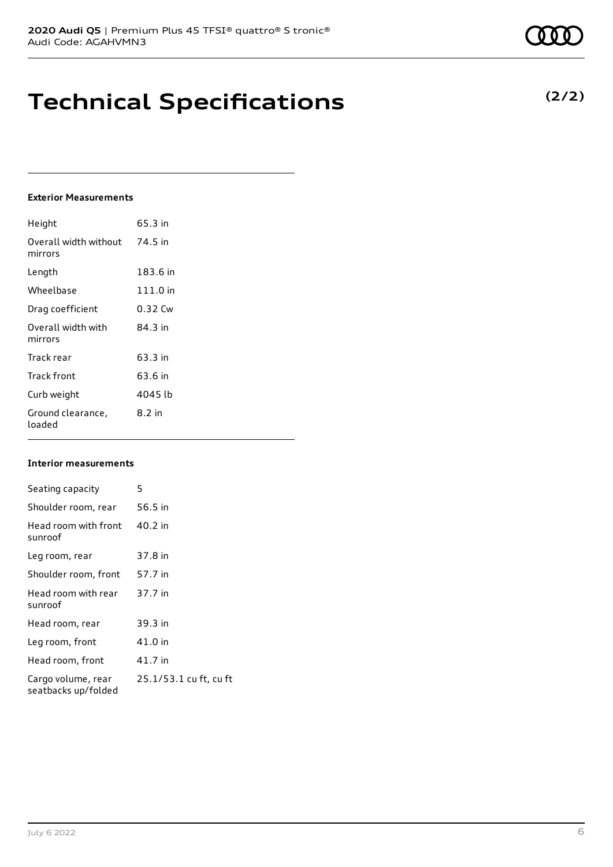# **Technical Specifications**

### **Exterior Measurements**

| Height                           | 65.3 in    |
|----------------------------------|------------|
| Overall width without<br>mirrors | 74.5 in    |
| Length                           | 183.6 in   |
| Wheelbase                        | $111.0$ in |
| Drag coefficient                 | 0.32 Cw    |
| Overall width with<br>mirrors    | 84.3 in    |
| Track rear                       | 63.3 in    |
| Track front                      | 63.6 in    |
| Curb weight                      | 4045 lb    |
| Ground clearance,<br>loaded      | 8.2 in     |

### **Interior measurements**

| Seating capacity                          | 5                      |
|-------------------------------------------|------------------------|
| Shoulder room, rear                       | 56.5 in                |
| Head room with front<br>sunroof           | 40.2 in                |
| Leg room, rear                            | 37.8 in                |
| Shoulder room, front                      | 57.7 in                |
| Head room with rear<br>sunroof            | 37.7 in                |
| Head room, rear                           | 39.3 in                |
| Leg room, front                           | 41.0 in                |
| Head room, front                          | 41.7 in                |
| Cargo volume, rear<br>seatbacks up/folded | 25.1/53.1 cu ft, cu ft |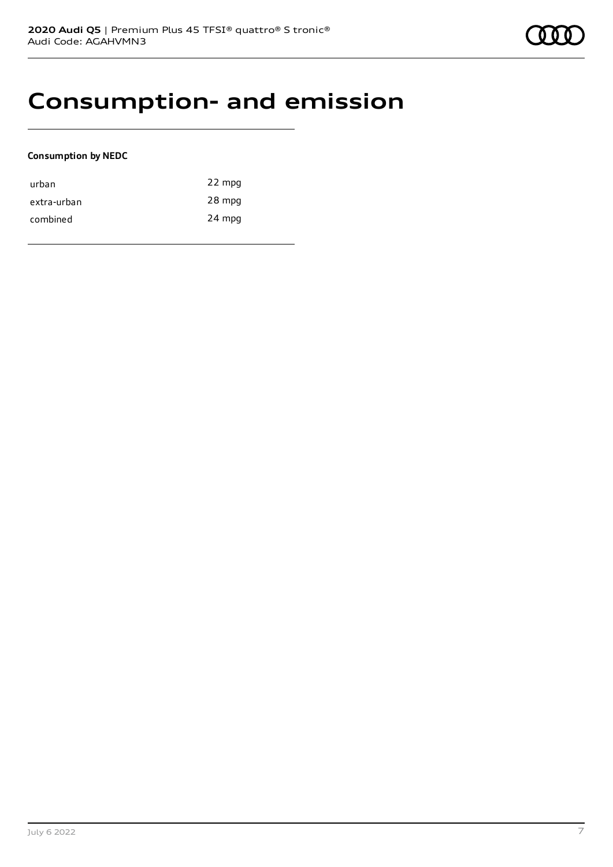### **Consumption- and emission**

### **Consumption by NEDC**

| urban       | 22 mpg |
|-------------|--------|
| extra-urban | 28 mpg |
| combined    | 24 mpg |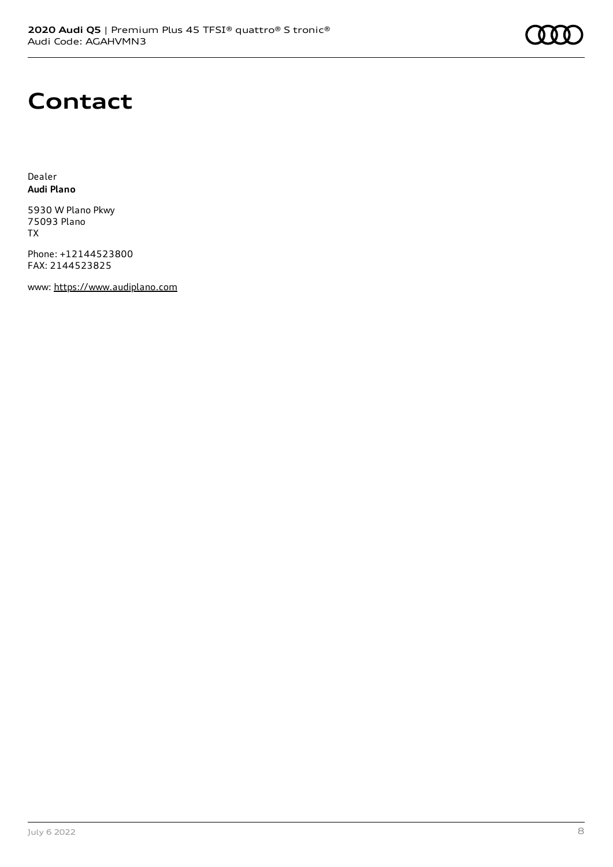## **Contact**

Dealer **Audi Plano**

5930 W Plano Pkwy 75093 Plano TX

Phone: +12144523800 FAX: 2144523825

www: [https://www.audiplano.com](https://www.audiplano.com/)